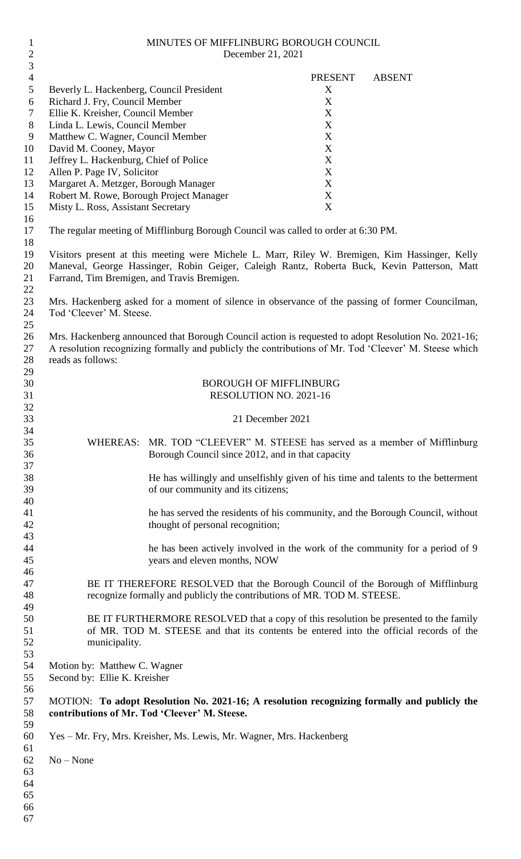| $\mathbf{2}$   |                                             |                                                                                    | December 21, 2021             |                                                                                                       |
|----------------|---------------------------------------------|------------------------------------------------------------------------------------|-------------------------------|-------------------------------------------------------------------------------------------------------|
| $\mathfrak{Z}$ |                                             |                                                                                    |                               |                                                                                                       |
| $\overline{4}$ |                                             |                                                                                    | <b>PRESENT</b>                | <b>ABSENT</b>                                                                                         |
| 5              | Beverly L. Hackenberg, Council President    |                                                                                    | X                             |                                                                                                       |
| 6              | Richard J. Fry, Council Member              |                                                                                    | X                             |                                                                                                       |
| $\tau$         | Ellie K. Kreisher, Council Member           |                                                                                    | $\mathbf X$                   |                                                                                                       |
| $8\phantom{1}$ | Linda L. Lewis, Council Member              |                                                                                    | X                             |                                                                                                       |
| 9              | Matthew C. Wagner, Council Member           |                                                                                    | $\mathbf X$                   |                                                                                                       |
| 10             | David M. Cooney, Mayor                      |                                                                                    | $\mathbf X$                   |                                                                                                       |
| 11             | Jeffrey L. Hackenburg, Chief of Police      |                                                                                    | X                             |                                                                                                       |
| 12             | Allen P. Page IV, Solicitor                 |                                                                                    | $\mathbf X$                   |                                                                                                       |
| 13             | Margaret A. Metzger, Borough Manager        |                                                                                    | X                             |                                                                                                       |
| 14             | Robert M. Rowe, Borough Project Manager     |                                                                                    | $\mathbf X$                   |                                                                                                       |
| 15             | Misty L. Ross, Assistant Secretary          |                                                                                    | $\mathbf X$                   |                                                                                                       |
| 16             |                                             |                                                                                    |                               |                                                                                                       |
| 17             |                                             | The regular meeting of Mifflinburg Borough Council was called to order at 6:30 PM. |                               |                                                                                                       |
| 18             |                                             |                                                                                    |                               |                                                                                                       |
| 19             |                                             |                                                                                    |                               | Visitors present at this meeting were Michele L. Marr, Riley W. Bremigen, Kim Hassinger, Kelly        |
| 20             |                                             |                                                                                    |                               | Maneval, George Hassinger, Robin Geiger, Caleigh Rantz, Roberta Buck, Kevin Patterson, Matt           |
| 21             | Farrand, Tim Bremigen, and Travis Bremigen. |                                                                                    |                               |                                                                                                       |
| 22<br>23       |                                             |                                                                                    |                               |                                                                                                       |
| 24             | Tod 'Cleever' M. Steese.                    |                                                                                    |                               | Mrs. Hackenberg asked for a moment of silence in observance of the passing of former Councilman,      |
| 25             |                                             |                                                                                    |                               |                                                                                                       |
| 26             |                                             |                                                                                    |                               | Mrs. Hackenberg announced that Borough Council action is requested to adopt Resolution No. 2021-16;   |
| 27             |                                             |                                                                                    |                               | A resolution recognizing formally and publicly the contributions of Mr. Tod 'Cleever' M. Steese which |
| 28             | reads as follows:                           |                                                                                    |                               |                                                                                                       |
| 29             |                                             |                                                                                    |                               |                                                                                                       |
| 30             |                                             |                                                                                    | <b>BOROUGH OF MIFFLINBURG</b> |                                                                                                       |
| 31             |                                             |                                                                                    | RESOLUTION NO. 2021-16        |                                                                                                       |
| 32             |                                             |                                                                                    |                               |                                                                                                       |
| 33             |                                             |                                                                                    | 21 December 2021              |                                                                                                       |
| 34             |                                             |                                                                                    |                               |                                                                                                       |
| 35             |                                             |                                                                                    |                               | WHEREAS: MR. TOD "CLEEVER" M. STEESE has served as a member of Mifflinburg                            |
| 36             |                                             | Borough Council since 2012, and in that capacity                                   |                               |                                                                                                       |
| 37             |                                             |                                                                                    |                               |                                                                                                       |
| 38             |                                             |                                                                                    |                               | He has willingly and unselfishly given of his time and talents to the betterment                      |
| 39             |                                             | of our community and its citizens;                                                 |                               |                                                                                                       |
| 40             |                                             |                                                                                    |                               |                                                                                                       |
| 41             |                                             |                                                                                    |                               | he has served the residents of his community, and the Borough Council, without                        |
| 42             |                                             | thought of personal recognition;                                                   |                               |                                                                                                       |
| 43             |                                             |                                                                                    |                               |                                                                                                       |
| 44             |                                             |                                                                                    |                               | he has been actively involved in the work of the community for a period of 9                          |
| 45             |                                             | years and eleven months, NOW                                                       |                               |                                                                                                       |
| 46             |                                             |                                                                                    |                               |                                                                                                       |
| 47             |                                             |                                                                                    |                               | BE IT THEREFORE RESOLVED that the Borough Council of the Borough of Mifflinburg                       |
| 48             |                                             | recognize formally and publicly the contributions of MR. TOD M. STEESE.            |                               |                                                                                                       |
| 49             |                                             |                                                                                    |                               |                                                                                                       |
| 50             |                                             |                                                                                    |                               | BE IT FURTHERMORE RESOLVED that a copy of this resolution be presented to the family                  |
| 51             |                                             |                                                                                    |                               | of MR. TOD M. STEESE and that its contents be entered into the official records of the                |
| 52             | municipality.                               |                                                                                    |                               |                                                                                                       |
| 53             |                                             |                                                                                    |                               |                                                                                                       |
| 54             | Motion by: Matthew C. Wagner                |                                                                                    |                               |                                                                                                       |
| 55             | Second by: Ellie K. Kreisher                |                                                                                    |                               |                                                                                                       |
| 56             |                                             |                                                                                    |                               |                                                                                                       |
| 57             |                                             |                                                                                    |                               | MOTION: To adopt Resolution No. 2021-16; A resolution recognizing formally and publicly the           |
| 58             |                                             | contributions of Mr. Tod 'Cleever' M. Steese.                                      |                               |                                                                                                       |
| 59             |                                             |                                                                                    |                               |                                                                                                       |
| 60             |                                             | Yes – Mr. Fry, Mrs. Kreisher, Ms. Lewis, Mr. Wagner, Mrs. Hackenberg               |                               |                                                                                                       |
| 61             |                                             |                                                                                    |                               |                                                                                                       |
| 62             | $No - None$                                 |                                                                                    |                               |                                                                                                       |
| 63             |                                             |                                                                                    |                               |                                                                                                       |
| 64             |                                             |                                                                                    |                               |                                                                                                       |
| 65             |                                             |                                                                                    |                               |                                                                                                       |
| 66             |                                             |                                                                                    |                               |                                                                                                       |
| 67             |                                             |                                                                                    |                               |                                                                                                       |

MINUTES OF MIFFLINBURG BOROUGH COUNCIL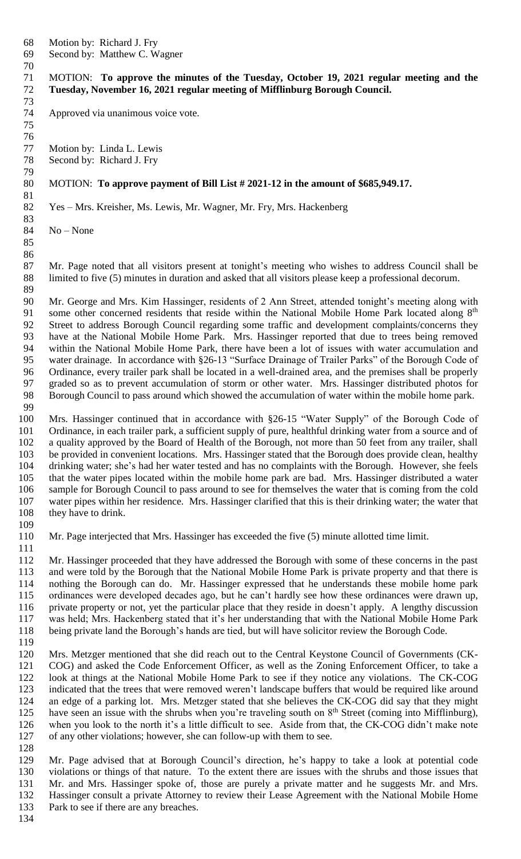Motion by: Richard J. Fry

Second by: Matthew C. Wagner

 MOTION: **To approve the minutes of the Tuesday, October 19, 2021 regular meeting and the Tuesday, November 16, 2021 regular meeting of Mifflinburg Borough Council.**

Approved via unanimous voice vote.

 Motion by: Linda L. Lewis Second by: Richard J. Fry

#### MOTION: **To approve payment of Bill List # 2021-12 in the amount of \$685,949.17.**

Yes – Mrs. Kreisher, Ms. Lewis, Mr. Wagner, Mr. Fry, Mrs. Hackenberg

  $No - None$ 

 

 Mr. Page noted that all visitors present at tonight's meeting who wishes to address Council shall be limited to five (5) minutes in duration and asked that all visitors please keep a professional decorum. 

 Mr. George and Mrs. Kim Hassinger, residents of 2 Ann Street, attended tonight's meeting along with 91 some other concerned residents that reside within the National Mobile Home Park located along 8<sup>th</sup> Street to address Borough Council regarding some traffic and development complaints/concerns they 93 have at the National Mobile Home Park. Mrs. Hassinger reported that due to trees being removed<br>94 within the National Mobile Home Park, there have been a lot of issues with water accumulation and within the National Mobile Home Park, there have been a lot of issues with water accumulation and water drainage. In accordance with §26-13 "Surface Drainage of Trailer Parks" of the Borough Code of Ordinance, every trailer park shall be located in a well-drained area, and the premises shall be properly graded so as to prevent accumulation of storm or other water. Mrs. Hassinger distributed photos for Borough Council to pass around which showed the accumulation of water within the mobile home park. 

 Mrs. Hassinger continued that in accordance with §26-15 "Water Supply" of the Borough Code of 101 Ordinance, in each trailer park, a sufficient supply of pure, healthful drinking water from a source and of a quality approved by the Board of Health of the Borough, not more than 50 feet from any trailer, shall 103 be provided in convenient locations. Mrs. Hassinger stated that the Borough does provide clean, healthy drinking water; she's had her water tested and has no complaints with the Borough. However, she feels that the water pipes located within the mobile home park are bad. Mrs. Hassinger distributed a water sample for Borough Council to pass around to see for themselves the water that is coming from the cold water pipes within her residence. Mrs. Hassinger clarified that this is their drinking water; the water that 108 they have to drink.

 Mr. Page interjected that Mrs. Hassinger has exceeded the five (5) minute allotted time limit. 

 Mr. Hassinger proceeded that they have addressed the Borough with some of these concerns in the past and were told by the Borough that the National Mobile Home Park is private property and that there is nothing the Borough can do. Mr. Hassinger expressed that he understands these mobile home park ordinances were developed decades ago, but he can't hardly see how these ordinances were drawn up, private property or not, yet the particular place that they reside in doesn't apply. A lengthy discussion was held; Mrs. Hackenberg stated that it's her understanding that with the National Mobile Home Park being private land the Borough's hands are tied, but will have solicitor review the Borough Code. 

 Mrs. Metzger mentioned that she did reach out to the Central Keystone Council of Governments (CK- COG) and asked the Code Enforcement Officer, as well as the Zoning Enforcement Officer, to take a look at things at the National Mobile Home Park to see if they notice any violations. The CK-COG indicated that the trees that were removed weren't landscape buffers that would be required like around an edge of a parking lot. Mrs. Metzger stated that she believes the CK-COG did say that they might have seen an issue with the shrubs when you're traveling south on  $8<sup>th</sup>$  Street (coming into Mifflinburg), when you look to the north it's a little difficult to see. Aside from that, the CK-COG didn't make note of any other violations; however, she can follow-up with them to see. 

 Mr. Page advised that at Borough Council's direction, he's happy to take a look at potential code violations or things of that nature. To the extent there are issues with the shrubs and those issues that Mr. and Mrs. Hassinger spoke of, those are purely a private matter and he suggests Mr. and Mrs. Hassinger consult a private Attorney to review their Lease Agreement with the National Mobile Home 133 Park to see if there are any breaches.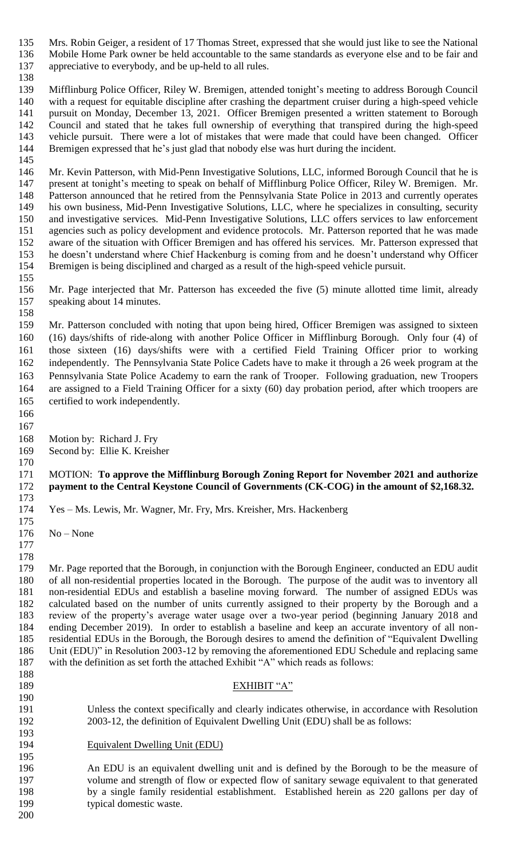Mrs. Robin Geiger, a resident of 17 Thomas Street, expressed that she would just like to see the National Mobile Home Park owner be held accountable to the same standards as everyone else and to be fair and appreciative to everybody, and be up-held to all rules.

 Mifflinburg Police Officer, Riley W. Bremigen, attended tonight's meeting to address Borough Council

 with a request for equitable discipline after crashing the department cruiser during a high-speed vehicle pursuit on Monday, December 13, 2021. Officer Bremigen presented a written statement to Borough Council and stated that he takes full ownership of everything that transpired during the high-speed vehicle pursuit. There were a lot of mistakes that were made that could have been changed. Officer Bremigen expressed that he's just glad that nobody else was hurt during the incident.

 146 Mr. Kevin Patterson, with Mid-Penn Investigative Solutions, LLC, informed Borough Council that he is present at tonight's meeting to speak on behalf of Mifflinburg Police Officer, Riley W. Bremigen. Mr. Patterson announced that he retired from the Pennsylvania State Police in 2013 and currently operates his own business, Mid-Penn Investigative Solutions, LLC, where he specializes in consulting, security and investigative services. Mid-Penn Investigative Solutions, LLC offers services to law enforcement agencies such as policy development and evidence protocols. Mr. Patterson reported that he was made aware of the situation with Officer Bremigen and has offered his services. Mr. Patterson expressed that he doesn't understand where Chief Hackenburg is coming from and he doesn't understand why Officer Bremigen is being disciplined and charged as a result of the high-speed vehicle pursuit. 

 Mr. Page interjected that Mr. Patterson has exceeded the five (5) minute allotted time limit, already speaking about 14 minutes. 

 Mr. Patterson concluded with noting that upon being hired, Officer Bremigen was assigned to sixteen (16) days/shifts of ride-along with another Police Officer in Mifflinburg Borough. Only four (4) of those sixteen (16) days/shifts were with a certified Field Training Officer prior to working independently. The Pennsylvania State Police Cadets have to make it through a 26 week program at the Pennsylvania State Police Academy to earn the rank of Trooper. Following graduation, new Troopers are assigned to a Field Training Officer for a sixty (60) day probation period, after which troopers are certified to work independently.

 

Motion by: Richard J. Fry

 Second by: Ellie K. Kreisher 

### MOTION: **To approve the Mifflinburg Borough Zoning Report for November 2021 and authorize payment to the Central Keystone Council of Governments (CK-COG) in the amount of \$2,168.32.**

 Yes – Ms. Lewis, Mr. Wagner, Mr. Fry, Mrs. Kreisher, Mrs. Hackenberg 

No – None

 Mr. Page reported that the Borough, in conjunction with the Borough Engineer, conducted an EDU audit of all non-residential properties located in the Borough. The purpose of the audit was to inventory all non-residential EDUs and establish a baseline moving forward. The number of assigned EDUs was calculated based on the number of units currently assigned to their property by the Borough and a review of the property's average water usage over a two-year period (beginning January 2018 and ending December 2019). In order to establish a baseline and keep an accurate inventory of all non- residential EDUs in the Borough, the Borough desires to amend the definition of "Equivalent Dwelling Unit (EDU)" in Resolution 2003-12 by removing the aforementioned EDU Schedule and replacing same with the definition as set forth the attached Exhibit "A" which reads as follows:

- 
- 

# EXHIBIT "A"

 Unless the context specifically and clearly indicates otherwise, in accordance with Resolution 2003-12, the definition of Equivalent Dwelling Unit (EDU) shall be as follows:

Equivalent Dwelling Unit (EDU)

 An EDU is an equivalent dwelling unit and is defined by the Borough to be the measure of volume and strength of flow or expected flow of sanitary sewage equivalent to that generated by a single family residential establishment. Established herein as 220 gallons per day of 199 typical domestic waste.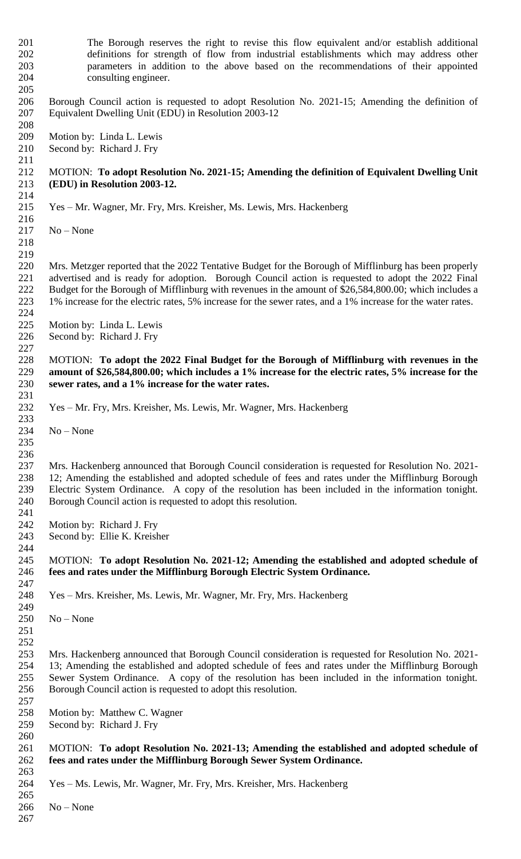The Borough reserves the right to revise this flow equivalent and/or establish additional definitions for strength of flow from industrial establishments which may address other parameters in addition to the above based on the recommendations of their appointed consulting engineer. Borough Council action is requested to adopt Resolution No. 2021-15; Amending the definition of Equivalent Dwelling Unit (EDU) in Resolution 2003-12 Motion by: Linda L. Lewis Second by: Richard J. Fry MOTION: **To adopt Resolution No. 2021-15; Amending the definition of Equivalent Dwelling Unit (EDU) in Resolution 2003-12.** Yes – Mr. Wagner, Mr. Fry, Mrs. Kreisher, Ms. Lewis, Mrs. Hackenberg No – None Mrs. Metzger reported that the 2022 Tentative Budget for the Borough of Mifflinburg has been properly advertised and is ready for adoption. Borough Council action is requested to adopt the 2022 Final Budget for the Borough of Mifflinburg with revenues in the amount of \$26,584,800.00; which includes a 1% increase for the electric rates, 5% increase for the sewer rates, and a 1% increase for the water rates. Motion by: Linda L. Lewis Second by: Richard J. Fry MOTION: **To adopt the 2022 Final Budget for the Borough of Mifflinburg with revenues in the amount of \$26,584,800.00; which includes a 1% increase for the electric rates, 5% increase for the sewer rates, and a 1% increase for the water rates.** Yes – Mr. Fry, Mrs. Kreisher, Ms. Lewis, Mr. Wagner, Mrs. Hackenberg No – None Mrs. Hackenberg announced that Borough Council consideration is requested for Resolution No. 2021- 12; Amending the established and adopted schedule of fees and rates under the Mifflinburg Borough Electric System Ordinance. A copy of the resolution has been included in the information tonight. Borough Council action is requested to adopt this resolution. Motion by: Richard J. Fry Second by: Ellie K. Kreisher MOTION: **To adopt Resolution No. 2021-12; Amending the established and adopted schedule of fees and rates under the Mifflinburg Borough Electric System Ordinance.** Yes – Mrs. Kreisher, Ms. Lewis, Mr. Wagner, Mr. Fry, Mrs. Hackenberg No – None Mrs. Hackenberg announced that Borough Council consideration is requested for Resolution No. 2021- 13; Amending the established and adopted schedule of fees and rates under the Mifflinburg Borough Sewer System Ordinance. A copy of the resolution has been included in the information tonight. Borough Council action is requested to adopt this resolution. Motion by: Matthew C. Wagner Second by: Richard J. Fry MOTION: **To adopt Resolution No. 2021-13; Amending the established and adopted schedule of fees and rates under the Mifflinburg Borough Sewer System Ordinance.** Yes – Ms. Lewis, Mr. Wagner, Mr. Fry, Mrs. Kreisher, Mrs. Hackenberg No – None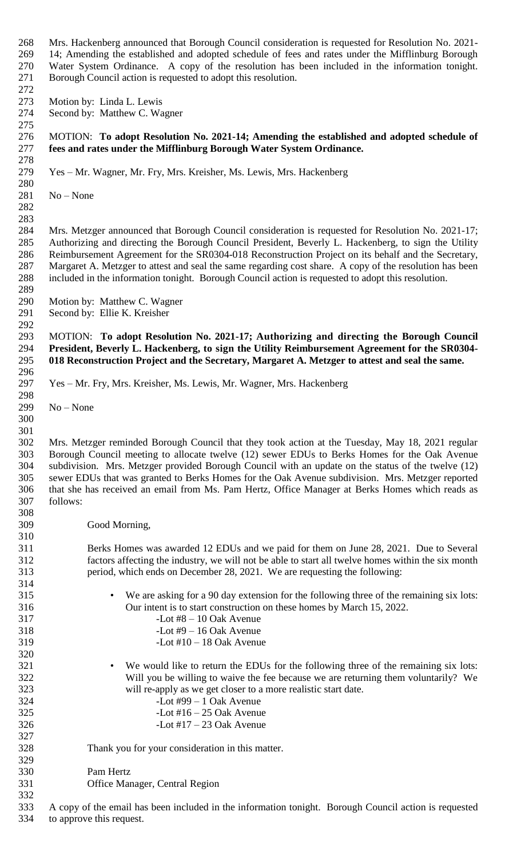Mrs. Hackenberg announced that Borough Council consideration is requested for Resolution No. 2021- 14; Amending the established and adopted schedule of fees and rates under the Mifflinburg Borough Water System Ordinance. A copy of the resolution has been included in the information tonight. Borough Council action is requested to adopt this resolution.

- Motion by: Linda L. Lewis
- Second by: Matthew C. Wagner

# MOTION: **To adopt Resolution No. 2021-14; Amending the established and adopted schedule of fees and rates under the Mifflinburg Borough Water System Ordinance.**

Yes – Mr. Wagner, Mr. Fry, Mrs. Kreisher, Ms. Lewis, Mrs. Hackenberg

- No None
- 

 Mrs. Metzger announced that Borough Council consideration is requested for Resolution No. 2021-17; Authorizing and directing the Borough Council President, Beverly L. Hackenberg, to sign the Utility Reimbursement Agreement for the SR0304-018 Reconstruction Project on its behalf and the Secretary, Margaret A. Metzger to attest and seal the same regarding cost share. A copy of the resolution has been included in the information tonight. Borough Council action is requested to adopt this resolution. 

Motion by: Matthew C. Wagner

 Second by: Ellie K. Kreisher 

 MOTION: **To adopt Resolution No. 2021-17; Authorizing and directing the Borough Council President, Beverly L. Hackenberg, to sign the Utility Reimbursement Agreement for the SR0304- 018 Reconstruction Project and the Secretary, Margaret A. Metzger to attest and seal the same.**

Yes – Mr. Fry, Mrs. Kreisher, Ms. Lewis, Mr. Wagner, Mrs. Hackenberg

No – None

 

 Mrs. Metzger reminded Borough Council that they took action at the Tuesday, May 18, 2021 regular Borough Council meeting to allocate twelve (12) sewer EDUs to Berks Homes for the Oak Avenue subdivision. Mrs. Metzger provided Borough Council with an update on the status of the twelve (12) sewer EDUs that was granted to Berks Homes for the Oak Avenue subdivision. Mrs. Metzger reported that she has received an email from Ms. Pam Hertz, Office Manager at Berks Homes which reads as follows: 

Good Morning,

 Berks Homes was awarded 12 EDUs and we paid for them on June 28, 2021. Due to Several factors affecting the industry, we will not be able to start all twelve homes within the six month period, which ends on December 28, 2021. We are requesting the following:

- We are asking for a 90 day extension for the following three of the remaining six lots: Our intent is to start construction on these homes by March 15, 2022. -Lot  $#8 - 10$  Oak Avenue
- -Lot #9 16 Oak Avenue
- -Lot #10 18 Oak Avenue
- We would like to return the EDUs for the following three of the remaining six lots: Will you be willing to waive the fee because we are returning them voluntarily? We will re-apply as we get closer to a more realistic start date.
- -Lot #99 1 Oak Avenue -Lot #16 – 25 Oak Avenue -Lot #17 – 23 Oak Avenue
- Thank you for your consideration in this matter.
- Pam Hertz
- Office Manager, Central Region

 A copy of the email has been included in the information tonight. Borough Council action is requested to approve this request.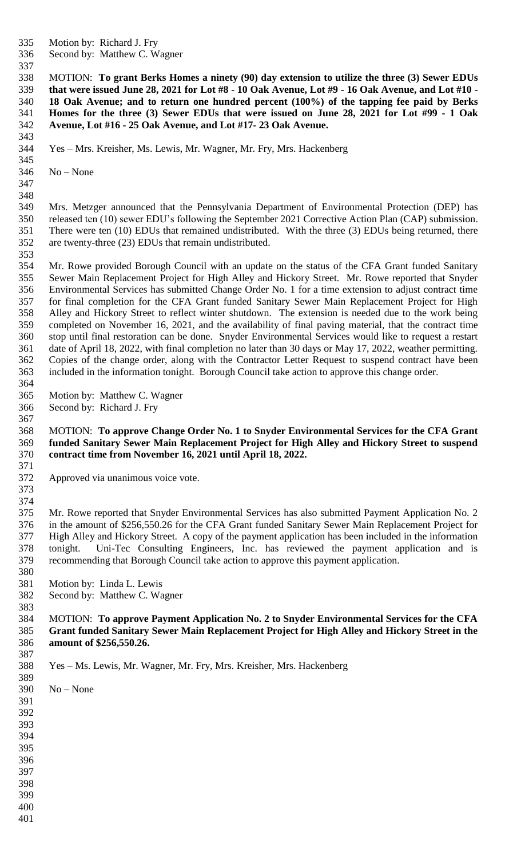Motion by: Richard J. Fry

Second by: Matthew C. Wagner

 MOTION: **To grant Berks Homes a ninety (90) day extension to utilize the three (3) Sewer EDUs that were issued June 28, 2021 for Lot #8 - 10 Oak Avenue, Lot #9 - 16 Oak Avenue, and Lot #10 - 18 Oak Avenue; and to return one hundred percent (100%) of the tapping fee paid by Berks Homes for the three (3) Sewer EDUs that were issued on June 28, 2021 for Lot #99 - 1 Oak Avenue, Lot #16 - 25 Oak Avenue, and Lot #17- 23 Oak Avenue.**

Yes – Mrs. Kreisher, Ms. Lewis, Mr. Wagner, Mr. Fry, Mrs. Hackenberg

No – None

 

 Mrs. Metzger announced that the Pennsylvania Department of Environmental Protection (DEP) has released ten (10) sewer EDU's following the September 2021 Corrective Action Plan (CAP) submission. There were ten (10) EDUs that remained undistributed. With the three (3) EDUs being returned, there are twenty-three (23) EDUs that remain undistributed.

 Mr. Rowe provided Borough Council with an update on the status of the CFA Grant funded Sanitary Sewer Main Replacement Project for High Alley and Hickory Street. Mr. Rowe reported that Snyder Environmental Services has submitted Change Order No. 1 for a time extension to adjust contract time for final completion for the CFA Grant funded Sanitary Sewer Main Replacement Project for High Alley and Hickory Street to reflect winter shutdown. The extension is needed due to the work being completed on November 16, 2021, and the availability of final paving material, that the contract time stop until final restoration can be done. Snyder Environmental Services would like to request a restart date of April 18, 2022, with final completion no later than 30 days or May 17, 2022, weather permitting. Copies of the change order, along with the Contractor Letter Request to suspend contract have been included in the information tonight. Borough Council take action to approve this change order.

- Motion by: Matthew C. Wagner
- Second by: Richard J. Fry

### MOTION: **To approve Change Order No. 1 to Snyder Environmental Services for the CFA Grant funded Sanitary Sewer Main Replacement Project for High Alley and Hickory Street to suspend contract time from November 16, 2021 until April 18, 2022.**

- Approved via unanimous voice vote.
- 

 Mr. Rowe reported that Snyder Environmental Services has also submitted Payment Application No. 2 in the amount of \$256,550.26 for the CFA Grant funded Sanitary Sewer Main Replacement Project for High Alley and Hickory Street. A copy of the payment application has been included in the information tonight. Uni-Tec Consulting Engineers, Inc. has reviewed the payment application and is recommending that Borough Council take action to approve this payment application.

- Motion by: Linda L. Lewis
- Second by: Matthew C. Wagner

 MOTION: **To approve Payment Application No. 2 to Snyder Environmental Services for the CFA Grant funded Sanitary Sewer Main Replacement Project for High Alley and Hickory Street in the amount of \$256,550.26.**

Yes – Ms. Lewis, Mr. Wagner, Mr. Fry, Mrs. Kreisher, Mrs. Hackenberg

No – None

 

- 
- 
- 
- 
- 
- 
-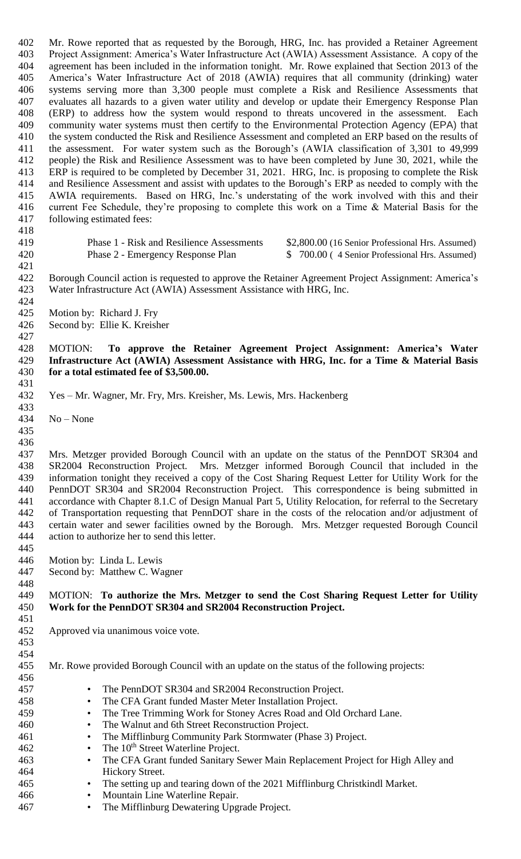Mr. Rowe reported that as requested by the Borough, HRG, Inc. has provided a Retainer Agreement Project Assignment: America's Water Infrastructure Act (AWIA) Assessment Assistance. A copy of the agreement has been included in the information tonight. Mr. Rowe explained that Section 2013 of the America's Water Infrastructure Act of 2018 (AWIA) requires that all community (drinking) water systems serving more than 3,300 people must complete a Risk and Resilience Assessments that evaluates all hazards to a given water utility and develop or update their Emergency Response Plan (ERP) to address how the system would respond to threats uncovered in the assessment. Each community water systems must then certify to the Environmental Protection Agency (EPA) that the system conducted the Risk and Resilience Assessment and completed an ERP based on the results of the assessment. For water system such as the Borough's (AWIA classification of 3,301 to 49,999 people) the Risk and Resilience Assessment was to have been completed by June 30, 2021, while the ERP is required to be completed by December 31, 2021. HRG, Inc. is proposing to complete the Risk and Resilience Assessment and assist with updates to the Borough's ERP as needed to comply with the AWIA requirements. Based on HRG, Inc.'s understating of the work involved with this and their current Fee Schedule, they're proposing to complete this work on a Time & Material Basis for the following estimated fees:

419 Phase 1 - Risk and Resilience Assessments \$2,800.00 (16 Senior Professional Hrs. Assumed) 420 Phase 2 - Emergency Response Plan \$ 700.00 (4 Senior Professional Hrs. Assumed)

 Borough Council action is requested to approve the Retainer Agreement Project Assignment: America's Water Infrastructure Act (AWIA) Assessment Assistance with HRG, Inc.

 Motion by: Richard J. Fry

Second by: Ellie K. Kreisher

 MOTION: **To approve the Retainer Agreement Project Assignment: America's Water Infrastructure Act (AWIA) Assessment Assistance with HRG, Inc. for a Time & Material Basis for a total estimated fee of \$3,500.00.**

 Yes – Mr. Wagner, Mr. Fry, Mrs. Kreisher, Ms. Lewis, Mrs. Hackenberg 

No – None

 

 Mrs. Metzger provided Borough Council with an update on the status of the PennDOT SR304 and SR2004 Reconstruction Project. Mrs. Metzger informed Borough Council that included in the information tonight they received a copy of the Cost Sharing Request Letter for Utility Work for the PennDOT SR304 and SR2004 Reconstruction Project. This correspondence is being submitted in accordance with Chapter 8.1.C of Design Manual Part 5, Utility Relocation, for referral to the Secretary of Transportation requesting that PennDOT share in the costs of the relocation and/or adjustment of certain water and sewer facilities owned by the Borough. Mrs. Metzger requested Borough Council action to authorize her to send this letter. 

Motion by: Linda L. Lewis

Second by: Matthew C. Wagner

# MOTION: **To authorize the Mrs. Metzger to send the Cost Sharing Request Letter for Utility Work for the PennDOT SR304 and SR2004 Reconstruction Project.**

- Approved via unanimous voice vote.
- 

Mr. Rowe provided Borough Council with an update on the status of the following projects:

- • The PennDOT SR304 and SR2004 Reconstruction Project. • The CFA Grant funded Master Meter Installation Project. • The Tree Trimming Work for Stoney Acres Road and Old Orchard Lane. • The Walnut and 6th Street Reconstruction Project. • The Mifflinburg Community Park Stormwater (Phase 3) Project. 462 • The 10<sup>th</sup> Street Waterline Project. • The CFA Grant funded Sanitary Sewer Main Replacement Project for High Alley and Hickory Street. • The setting up and tearing down of the 2021 Mifflinburg Christkindl Market. • Mountain Line Waterline Repair.
- The Mifflinburg Dewatering Upgrade Project.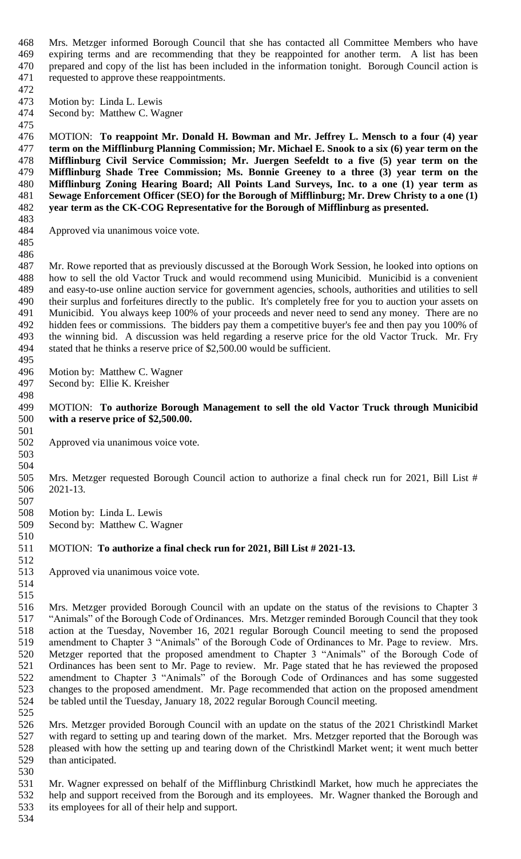Mrs. Metzger informed Borough Council that she has contacted all Committee Members who have expiring terms and are recommending that they be reappointed for another term. A list has been prepared and copy of the list has been included in the information tonight. Borough Council action is requested to approve these reappointments.

- Motion by: Linda L. Lewis
- Second by: Matthew C. Wagner

 MOTION: **To reappoint Mr. Donald H. Bowman and Mr. Jeffrey L. Mensch to a four (4) year term on the Mifflinburg Planning Commission; Mr. Michael E. Snook to a six (6) year term on the Mifflinburg Civil Service Commission; Mr. Juergen Seefeldt to a five (5) year term on the Mifflinburg Shade Tree Commission; Ms. Bonnie Greeney to a three (3) year term on the Mifflinburg Zoning Hearing Board; All Points Land Surveys, Inc. to a one (1) year term as Sewage Enforcement Officer (SEO) for the Borough of Mifflinburg; Mr. Drew Christy to a one (1) year term as the CK-COG Representative for the Borough of Mifflinburg as presented.**

Approved via unanimous voice vote.

 

 Mr. Rowe reported that as previously discussed at the Borough Work Session, he looked into options on how to sell the old Vactor Truck and would recommend using Municibid. Municibid is a convenient and easy-to-use online auction service for government agencies, schools, authorities and utilities to sell their surplus and forfeitures directly to the public. It's completely free for you to auction your assets on Municibid. You always keep 100% of your proceeds and never need to send any money. There are no hidden fees or commissions. The bidders pay them a competitive buyer's fee and then pay you 100% of the winning bid. A discussion was held regarding a reserve price for the old Vactor Truck. Mr. Fry stated that he thinks a reserve price of \$2,500.00 would be sufficient. 

Motion by: Matthew C. Wagner

Second by: Ellie K. Kreisher

# MOTION: **To authorize Borough Management to sell the old Vactor Truck through Municibid with a reserve price of \$2,500.00.**

- Approved via unanimous voice vote.
- 

 Mrs. Metzger requested Borough Council action to authorize a final check run for 2021, Bill List # 2021-13.

 Motion by: Linda L. Lewis Second by: Matthew C. Wagner

### MOTION: **To authorize a final check run for 2021, Bill List # 2021-13.**

Approved via unanimous voice vote.

 

 Mrs. Metzger provided Borough Council with an update on the status of the revisions to Chapter 3 "Animals" of the Borough Code of Ordinances. Mrs. Metzger reminded Borough Council that they took action at the Tuesday, November 16, 2021 regular Borough Council meeting to send the proposed amendment to Chapter 3 "Animals" of the Borough Code of Ordinances to Mr. Page to review. Mrs. Metzger reported that the proposed amendment to Chapter 3 "Animals" of the Borough Code of Ordinances has been sent to Mr. Page to review. Mr. Page stated that he has reviewed the proposed amendment to Chapter 3 "Animals" of the Borough Code of Ordinances and has some suggested changes to the proposed amendment. Mr. Page recommended that action on the proposed amendment be tabled until the Tuesday, January 18, 2022 regular Borough Council meeting.

 Mrs. Metzger provided Borough Council with an update on the status of the 2021 Christkindl Market with regard to setting up and tearing down of the market. Mrs. Metzger reported that the Borough was pleased with how the setting up and tearing down of the Christkindl Market went; it went much better than anticipated.

 Mr. Wagner expressed on behalf of the Mifflinburg Christkindl Market, how much he appreciates the help and support received from the Borough and its employees. Mr. Wagner thanked the Borough and its employees for all of their help and support.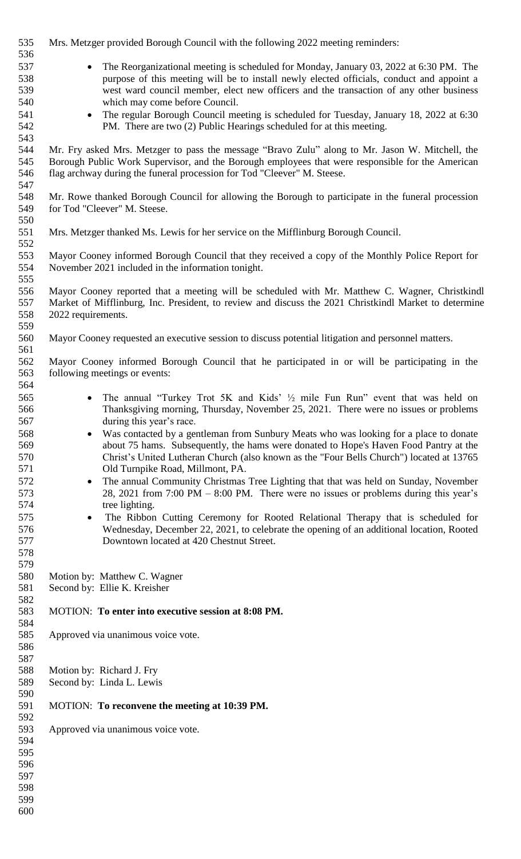| 535 | Mrs. Metzger provided Borough Council with the following 2022 meeting reminders:                      |
|-----|-------------------------------------------------------------------------------------------------------|
| 536 |                                                                                                       |
| 537 | The Reorganizational meeting is scheduled for Monday, January 03, 2022 at 6:30 PM. The<br>$\bullet$   |
| 538 | purpose of this meeting will be to install newly elected officials, conduct and appoint a             |
| 539 | west ward council member, elect new officers and the transaction of any other business                |
| 540 | which may come before Council.                                                                        |
| 541 | The regular Borough Council meeting is scheduled for Tuesday, January 18, 2022 at 6:30<br>$\bullet$   |
| 542 | PM. There are two (2) Public Hearings scheduled for at this meeting.                                  |
| 543 |                                                                                                       |
| 544 | Mr. Fry asked Mrs. Metzger to pass the message "Bravo Zulu" along to Mr. Jason W. Mitchell, the       |
| 545 | Borough Public Work Supervisor, and the Borough employees that were responsible for the American      |
| 546 | flag archway during the funeral procession for Tod "Cleever" M. Steese.                               |
| 547 |                                                                                                       |
| 548 | Mr. Rowe thanked Borough Council for allowing the Borough to participate in the funeral procession    |
| 549 | for Tod "Cleever" M. Steese.                                                                          |
| 550 |                                                                                                       |
| 551 | Mrs. Metzger thanked Ms. Lewis for her service on the Mifflinburg Borough Council.                    |
| 552 |                                                                                                       |
| 553 | Mayor Cooney informed Borough Council that they received a copy of the Monthly Police Report for      |
| 554 | November 2021 included in the information tonight.                                                    |
| 555 |                                                                                                       |
| 556 | Mayor Cooney reported that a meeting will be scheduled with Mr. Matthew C. Wagner, Christkindl        |
| 557 | Market of Mifflinburg, Inc. President, to review and discuss the 2021 Christkindl Market to determine |
| 558 | 2022 requirements.                                                                                    |
| 559 |                                                                                                       |
| 560 | Mayor Cooney requested an executive session to discuss potential litigation and personnel matters.    |
| 561 |                                                                                                       |
| 562 | Mayor Cooney informed Borough Council that he participated in or will be participating in the         |
| 563 | following meetings or events:                                                                         |
| 564 |                                                                                                       |
| 565 | The annual "Turkey Trot 5K and Kids' 1/2 mile Fun Run" event that was held on<br>$\bullet$            |
| 566 | Thanksgiving morning, Thursday, November 25, 2021. There were no issues or problems                   |
| 567 | during this year's race.                                                                              |
| 568 | Was contacted by a gentleman from Sunbury Meats who was looking for a place to donate                 |
| 569 | about 75 hams. Subsequently, the hams were donated to Hope's Haven Food Pantry at the                 |
| 570 | Christ's United Lutheran Church (also known as the "Four Bells Church") located at 13765              |
| 571 | Old Turnpike Road, Millmont, PA.                                                                      |
| 572 | The annual Community Christmas Tree Lighting that that was held on Sunday, November<br>$\bullet$      |
| 573 | 28, 2021 from 7:00 PM – 8:00 PM. There were no issues or problems during this year's                  |
| 574 | tree lighting.                                                                                        |
| 575 | The Ribbon Cutting Ceremony for Rooted Relational Therapy that is scheduled for<br>$\bullet$          |
| 576 | Wednesday, December 22, 2021, to celebrate the opening of an additional location, Rooted              |
| 577 | Downtown located at 420 Chestnut Street.                                                              |
| 578 |                                                                                                       |
| 579 |                                                                                                       |
| 580 | Motion by: Matthew C. Wagner                                                                          |
| 581 | Second by: Ellie K. Kreisher                                                                          |
| 582 |                                                                                                       |
| 583 | MOTION: To enter into executive session at 8:08 PM.                                                   |
| 584 |                                                                                                       |
| 585 | Approved via unanimous voice vote.                                                                    |
| 586 |                                                                                                       |
| 587 |                                                                                                       |
| 588 | Motion by: Richard J. Fry                                                                             |
| 589 | Second by: Linda L. Lewis                                                                             |
| 590 |                                                                                                       |
| 591 | MOTION: To reconvene the meeting at 10:39 PM.                                                         |
| 592 |                                                                                                       |
| 593 | Approved via unanimous voice vote.                                                                    |
| 594 |                                                                                                       |
| 595 |                                                                                                       |
| 596 |                                                                                                       |
| 597 |                                                                                                       |
| 598 |                                                                                                       |
| 599 |                                                                                                       |
| 600 |                                                                                                       |
|     |                                                                                                       |